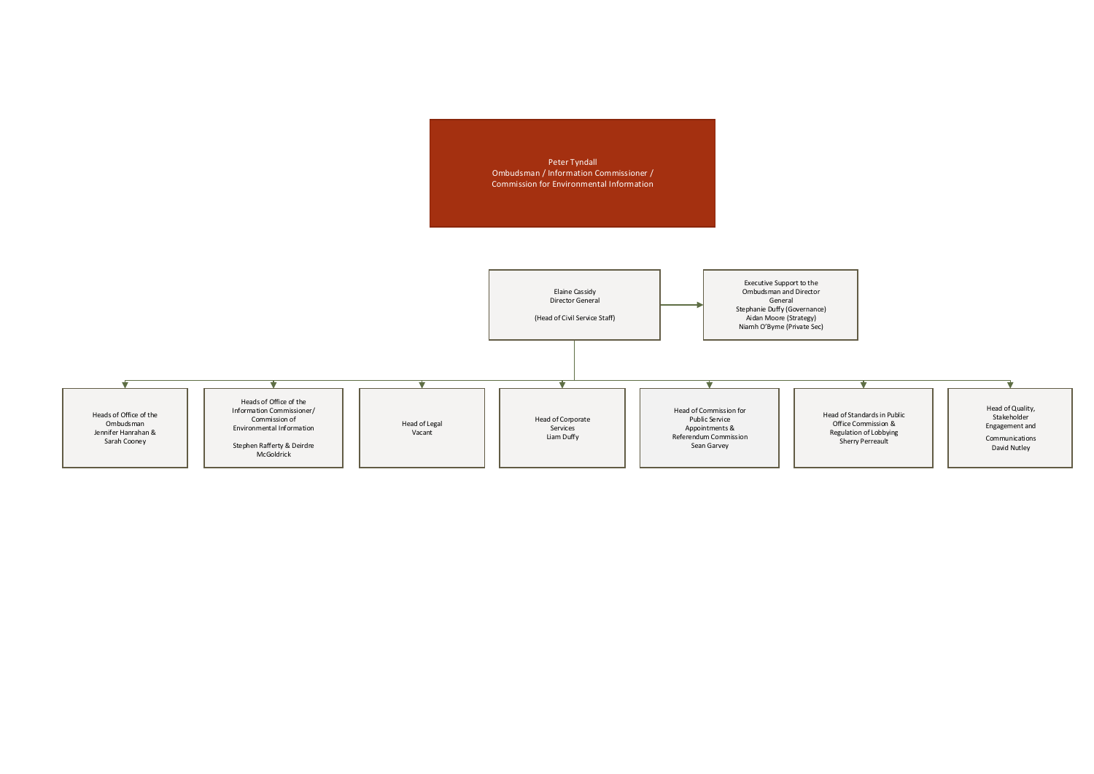Peter Tyndall Ombudsman / Information Commissioner / Commission for Environmental Information

> Head of Standards in Public Office Commission & Regulation of Lobbying Sherry Perreault

 $\overline{\textbf{v}}$ 



Head of Quality, Stakeholder Engagement and

V

Communications David Nutley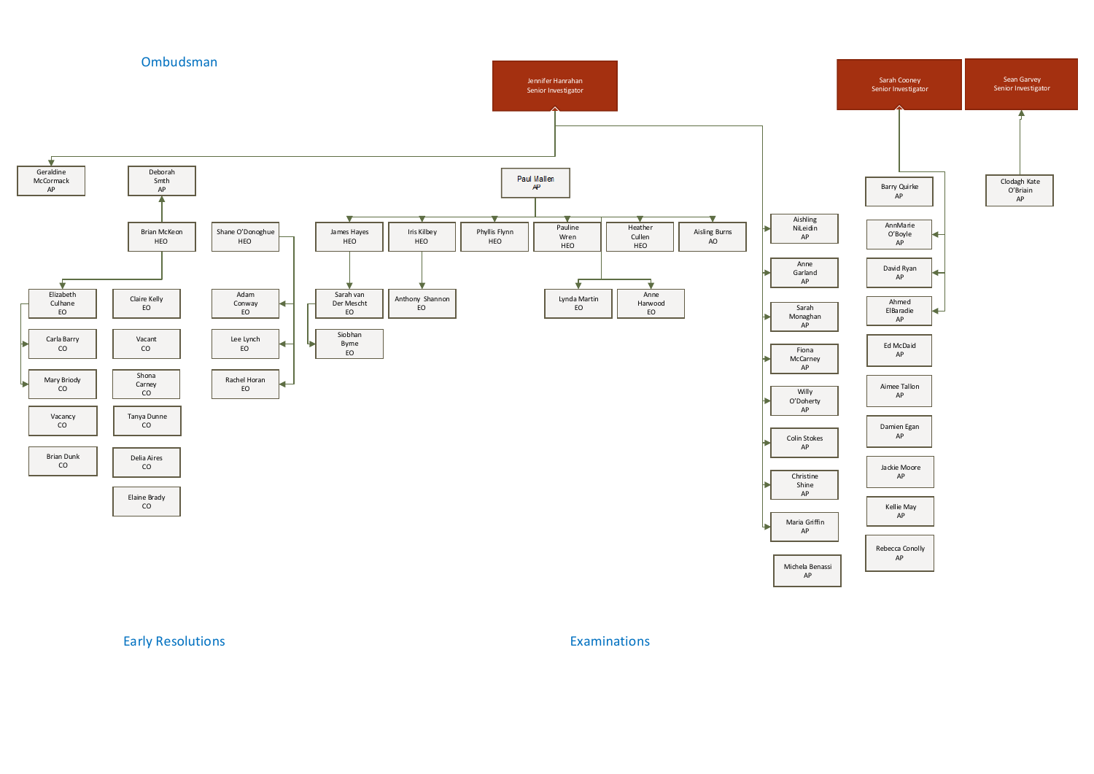

Early Resolutions **Examinations** Examinations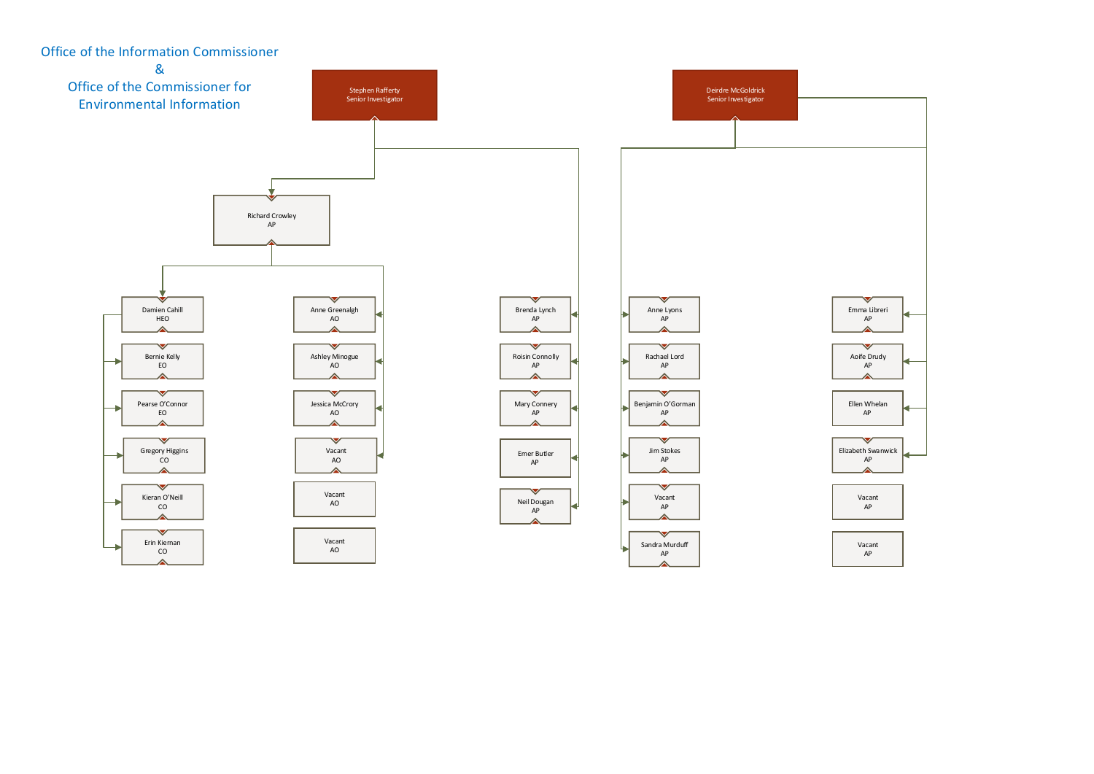

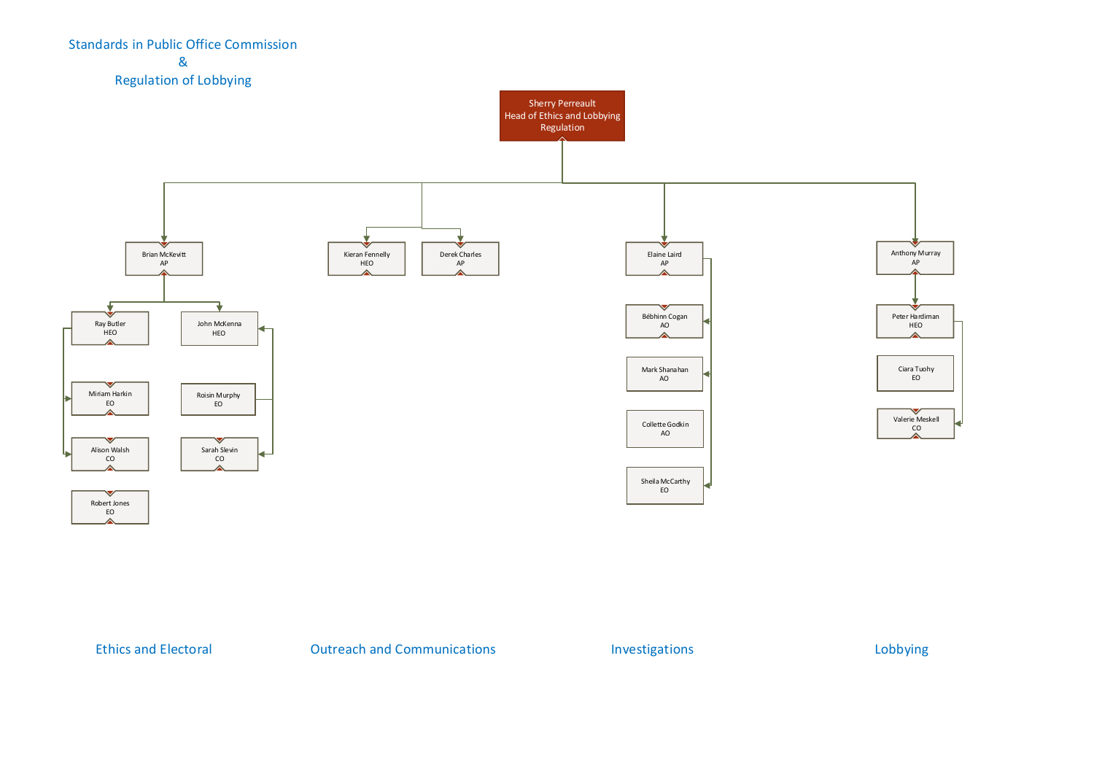

Ethics and Electoral **Electoral COULTER 2018** Outreach and Communications **Investigations** Lobbying

## Standards in Public Office Commission & Regulation of Lobbying

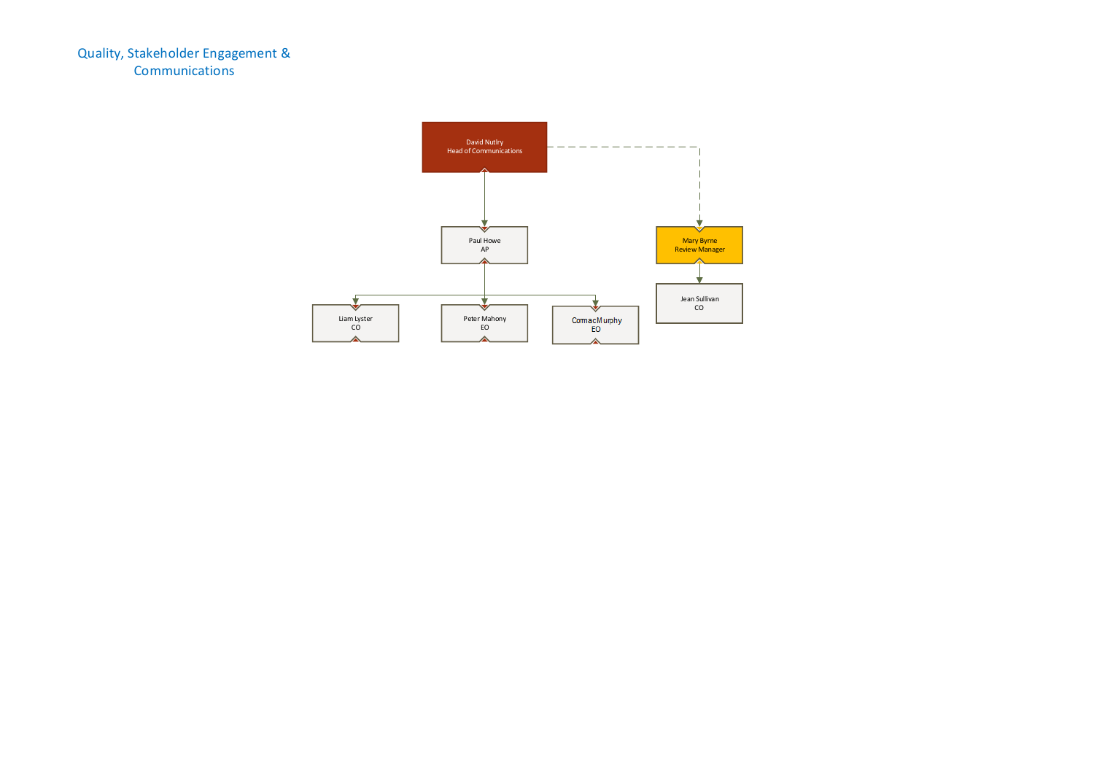

Quality, Stakeholder Engagement & **Communications**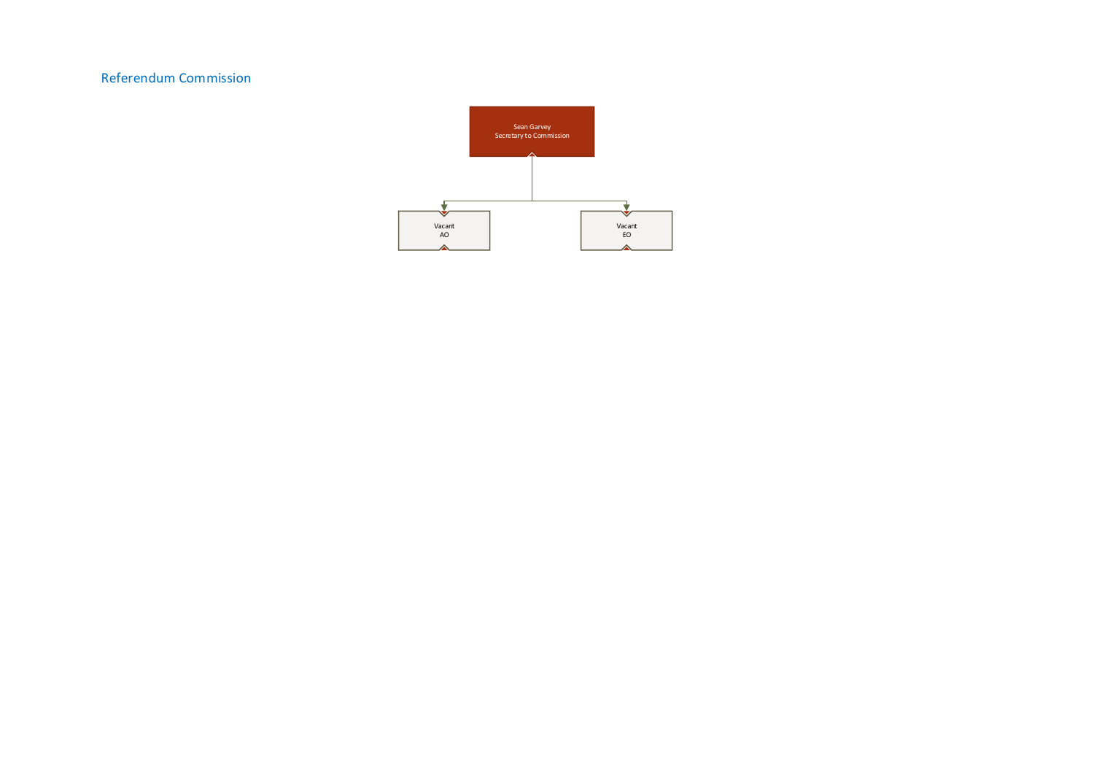

# Referendum Commission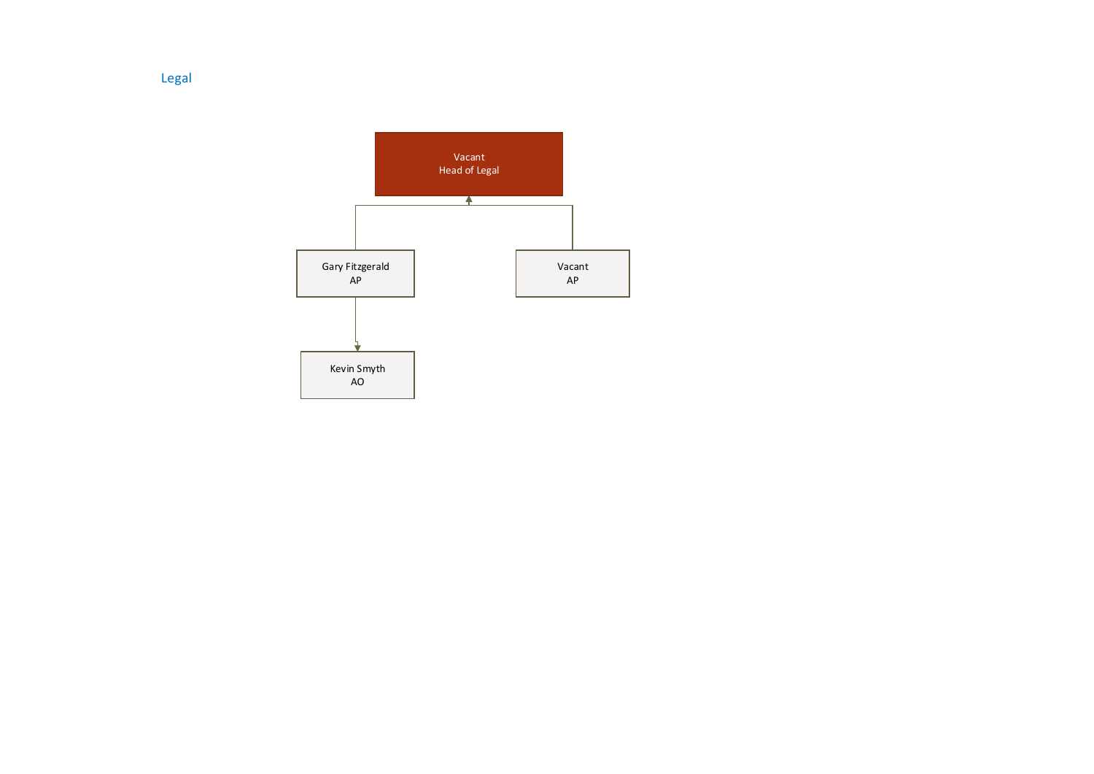Legal

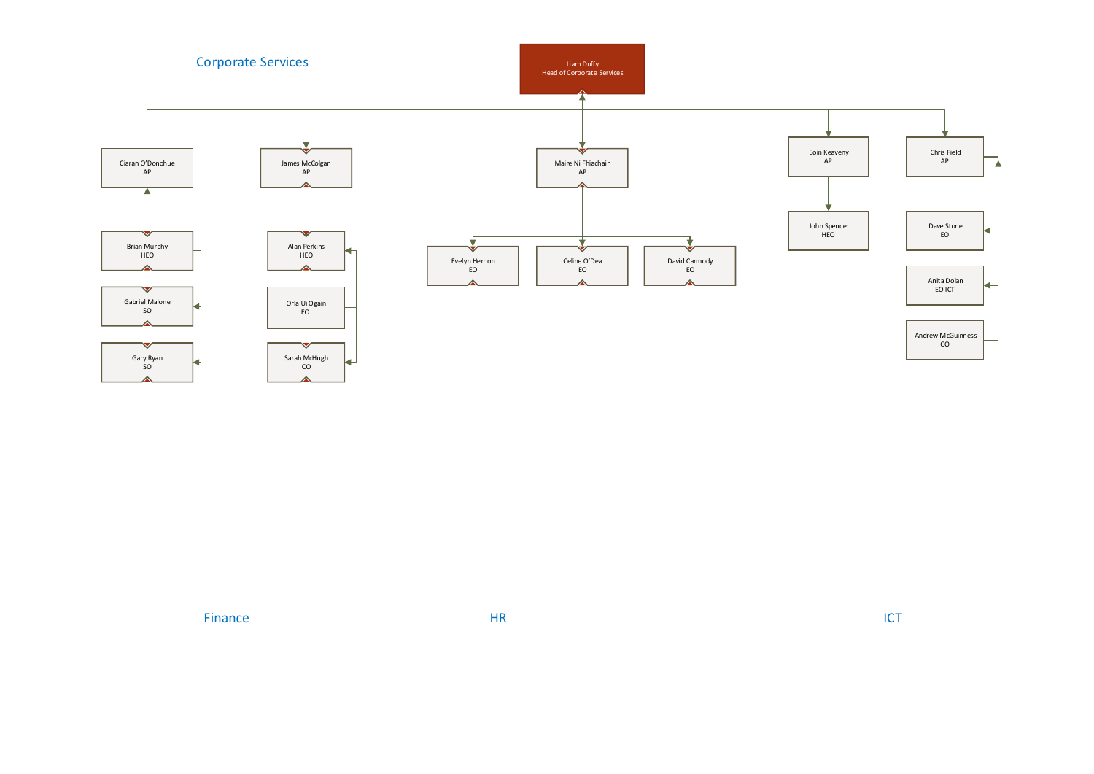

Finance and the HR ICT set of the HR ICT set of the HR ICT set of the HR ICT set of the HR ICT set of the HR ICT